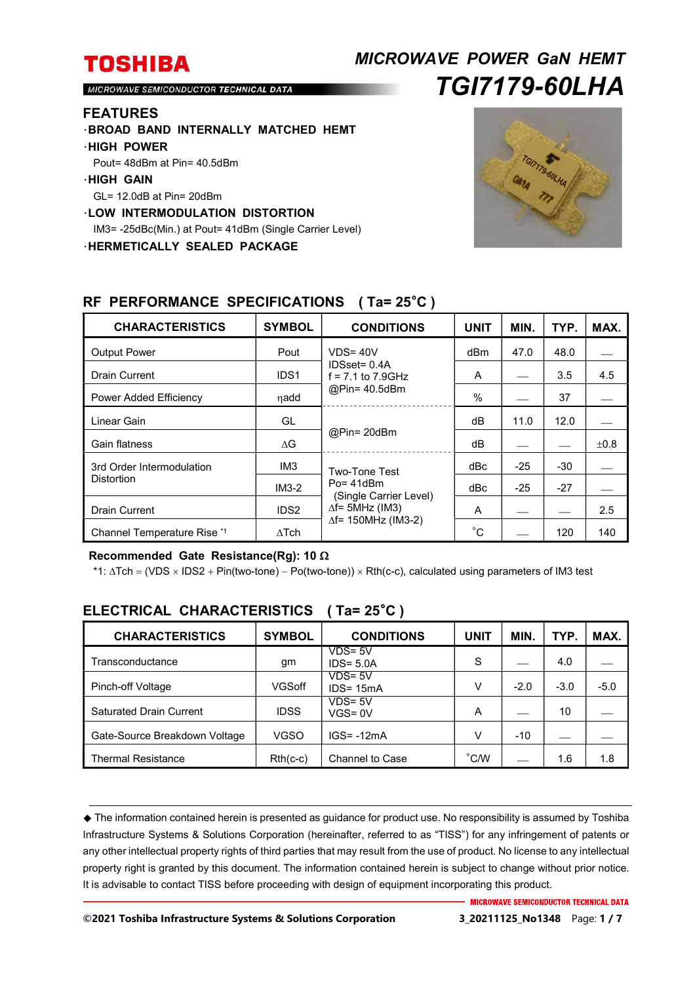# *MICROWAVE POWER GaN HEMT TGI7179-60LHA*

MICROWAVE SEMICONDUCTOR TECHNICAL DATA

#### **FEATURES**

- ・**BROAD BAND INTERNALLY MATCHED HEMT**
- ・**HIGH POWER**
- Pout= 48dBm at Pin= 40.5dBm
- ・**HIGH GAIN**
- GL= 12.0dB at Pin= 20dBm
- ・**LOW INTERMODULATION DISTORTION**

IM3= -25dBc(Min.) at Pout= 41dBm (Single Carrier Level)

・**HERMETICALLY SEALED PACKAGE** 



| <b>CHARACTERISTICS</b>                                                | <b>SYMBOL</b>        | <b>CONDITIONS</b>                                                                                | <b>UNIT</b>  | MIN.  | TYP.  | MAX. |
|-----------------------------------------------------------------------|----------------------|--------------------------------------------------------------------------------------------------|--------------|-------|-------|------|
| <b>Output Power</b>                                                   | Pout                 | $VDS = 40V$<br>IDSset= 0.4A<br>$f = 7.1$ to $7.9$ GHz<br>@Pin= 40.5dBm                           | dBm          | 47.0  | 48.0  |      |
| <b>Drain Current</b>                                                  | IDS <sub>1</sub>     |                                                                                                  | A            |       | 3.5   | 4.5  |
| <b>Power Added Efficiency</b>                                         | ηadd                 |                                                                                                  | %            |       | 37    |      |
| Linear Gain                                                           | GL                   | @Pin= 20dBm                                                                                      | dВ           | 11.0  | 12.0  |      |
| Gain flatness                                                         | $\Delta G$           |                                                                                                  | dB           |       |       | ±0.8 |
| IM <sub>3</sub><br>3rd Order Intermodulation<br>Distortion<br>$IM3-2$ | <b>Two-Tone Test</b> | dBc                                                                                              | $-25$        | $-30$ |       |      |
|                                                                       |                      | $Po = 41dBm$<br>(Single Carrier Level)<br>$\Delta f$ = 5MHz (IM3)<br>$\Delta f$ = 150MHz (IM3-2) | dBc          | $-25$ | $-27$ |      |
| <b>Drain Current</b>                                                  | IDS <sub>2</sub>     |                                                                                                  | A            |       |       | 2.5  |
| Channel Temperature Rise *1                                           | $\Delta$ Tch         |                                                                                                  | $^{\circ}$ C |       | 120   | 140  |

### **RF PERFORMANCE SPECIFICATIONS ( Ta= 25**°**C )**

#### **Recommended Gate Resistance(Rg): 10**

 $*1$ :  $\Delta$ Tch = (VDS  $\times$  IDS2 + Pin(two-tone) – Po(two-tone))  $\times$  Rth(c-c), calculated using parameters of IM3 test

| <b>CHARACTERISTICS</b>         | <b>SYMBOL</b> | <b>CONDITIONS</b>          | <b>UNIT</b>    | MIN.   | TYP.   | MAX.   |
|--------------------------------|---------------|----------------------------|----------------|--------|--------|--------|
| Transconductance               | gm            | $VDS = 5V$<br>$IDS = 5.0A$ | S              |        | 4.0    |        |
| Pinch-off Voltage              | VGSoff        | VDS= 5V<br>$IDS = 15mA$    | V              | $-2.0$ | $-3.0$ | $-5.0$ |
| <b>Saturated Drain Current</b> | <b>IDSS</b>   | $VDS = 5V$<br>$VGS = 0V$   | А              |        | 10     |        |
| Gate-Source Breakdown Voltage  | VGSO          | $IGS = -12mA$              | V              | $-10$  |        |        |
| Thermal Resistance             | $Rth(c-c)$    | <b>Channel to Case</b>     | $^{\circ}$ C/W |        | 1.6    | 1.8    |

### **ELECTRICAL CHARACTERISTICS ( Ta= 25**°**C )**

 The information contained herein is presented as guidance for product use. No responsibility is assumed by Toshiba Infrastructure Systems & Solutions Corporation (hereinafter, referred to as "TISS") for any infringement of patents or any other intellectual property rights of third parties that may result from the use of product. No license to any intellectual property right is granted by this document. The information contained herein is subject to change without prior notice. It is advisable to contact TISS before proceeding with design of equipment incorporating this product.

**©2021 Toshiba Infrastructure Systems & Solutions Corporation 3\_20211125\_No1348** Page: **1 / 7**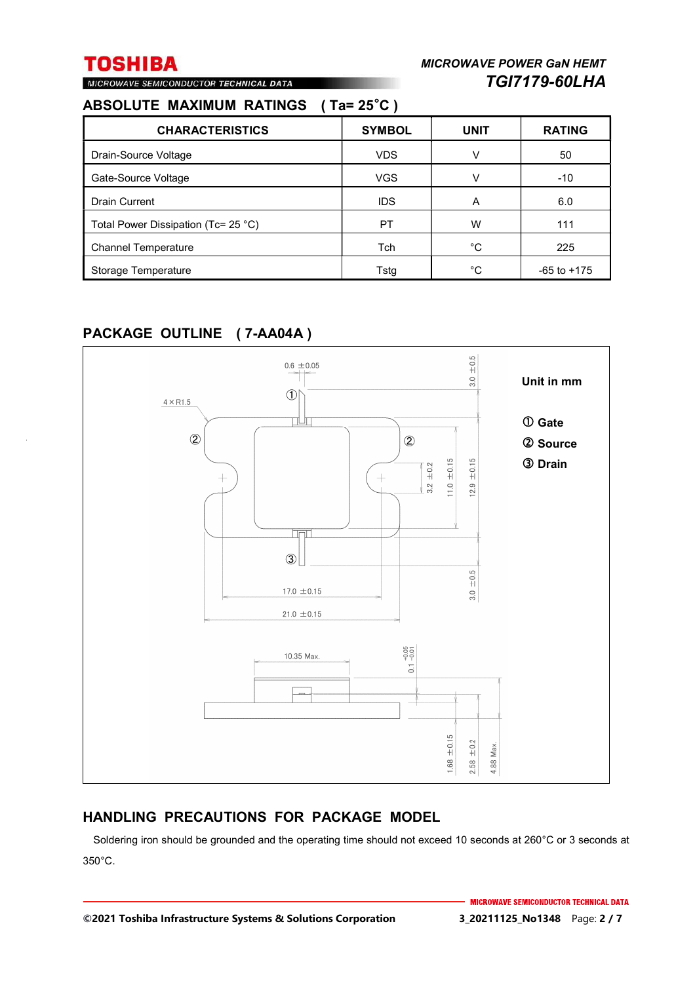# MICROWAVE SEMICONDUCTOR TECHNICAL DATA

### **ABSOLUTE MAXIMUM RATINGS ( Ta= 25**°**C )**

| <b>CHARACTERISTICS</b>              | <b>SYMBOL</b> | <b>UNIT</b> | <b>RATING</b>   |
|-------------------------------------|---------------|-------------|-----------------|
| Drain-Source Voltage                | <b>VDS</b>    | v           | 50              |
| Gate-Source Voltage                 | <b>VGS</b>    |             | $-10$           |
| <b>Drain Current</b>                | <b>IDS</b>    | A           | 6.0             |
| Total Power Dissipation (Tc= 25 °C) | PT            | w           | 111             |
| <b>Channel Temperature</b>          | Tch           | °C          | 225             |
| Storage Temperature                 | Tstg          | °C          | $-65$ to $+175$ |

### **PACKAGE OUTLINE ( 7-AA04A )**



### **HANDLING PRECAUTIONS FOR PACKAGE MODEL**

Soldering iron should be grounded and the operating time should not exceed 10 seconds at 260°C or 3 seconds at 350°C.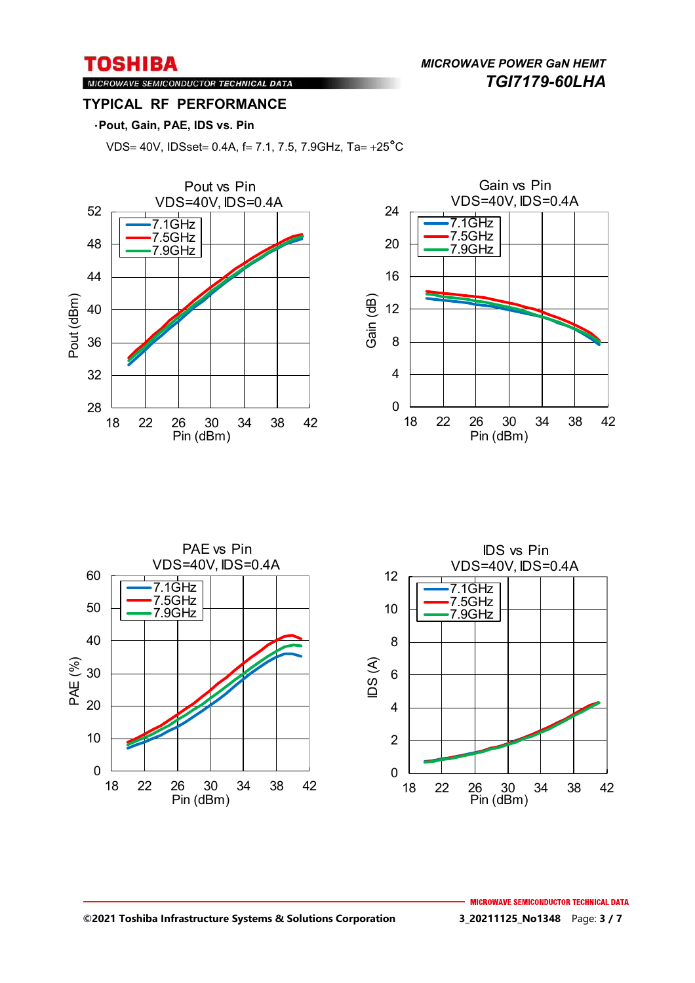*MICROWAVE POWER GaN HEMT TGI7179-60LHA* 

### MICROWAVE SEMICONDUCTOR TECHNICAL DATA **TYPICAL RF PERFORMANCE**

#### ・**Pout, Gain, PAE, IDS vs. Pin**

VDS= 40V, IDSset= 0.4A, f= 7.1, 7.5, 7.9GHz, Ta=  $+25^{\circ}$ C





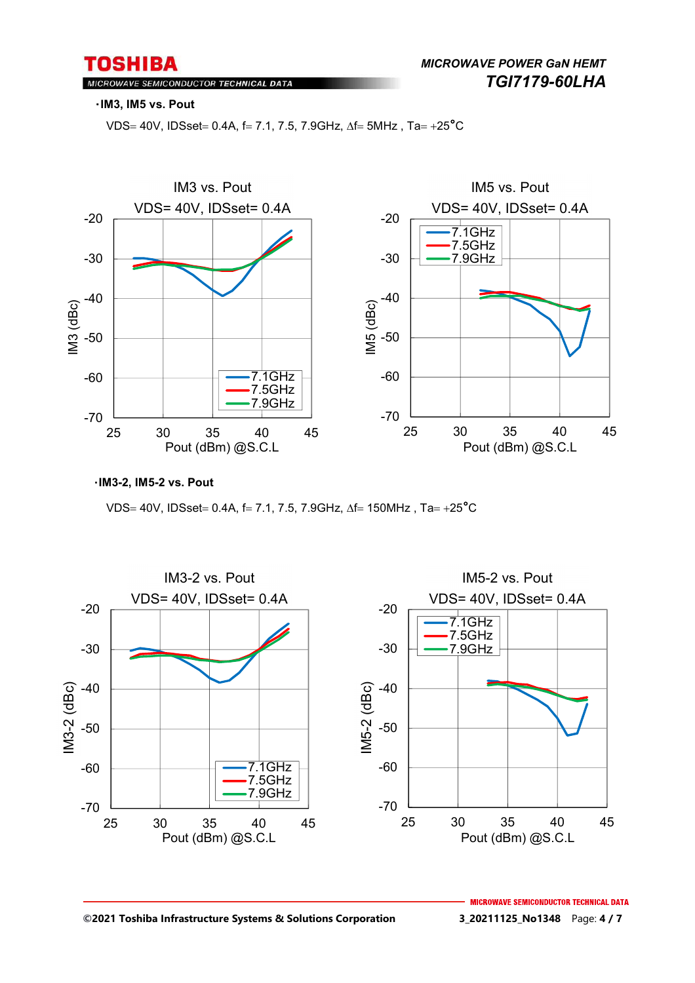MICROWAVE SEMICONDUCTOR TECHNICAL DATA

#### ・**IM3, IM5 vs. Pout**

VDS= 40V, IDSset= 0.4A, f= 7.1, 7.5, 7.9GHz,  $\Delta f = 5MHz$ , Ta= +25°C



・**IM3-2, IM5-2 vs. Pout**

VDS= 40V, IDSset= 0.4A, f= 7.1, 7.5, 7.9GHz,  $\Delta f = 150$ MHz, Ta= +25°C

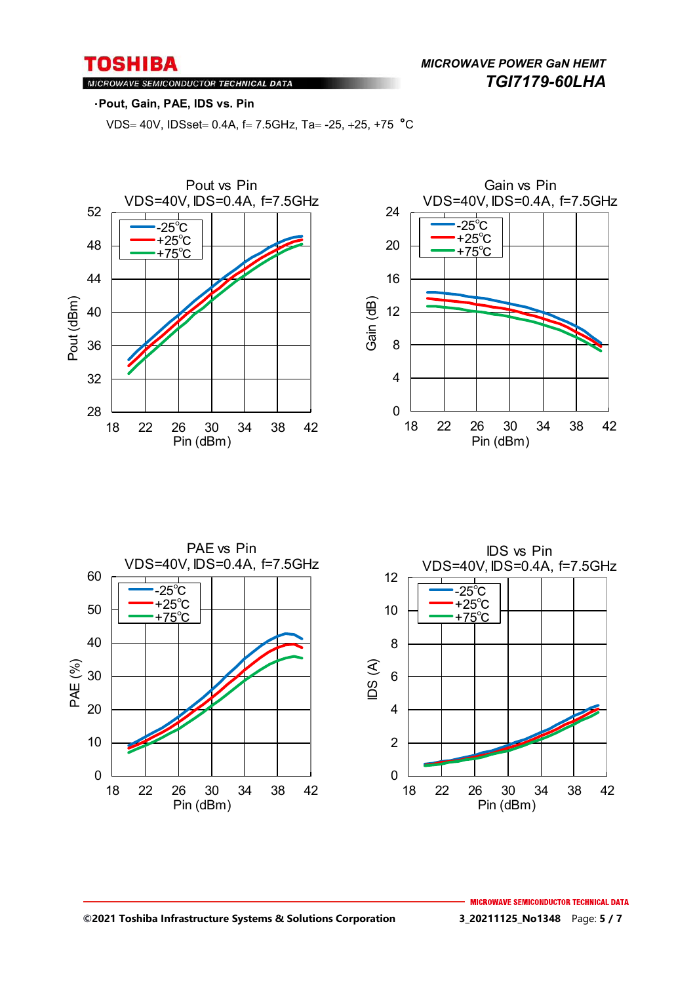*MICROWAVE POWER GaN HEMT TGI7179-60LHA* 

### MICROWAVE SEMICONDUCTOR TECHNICAL DATA

・**Pout, Gain, PAE, IDS vs. Pin**

VDS= 40V, IDSset = 0.4A, f = 7.5GHz, Ta = -25, +25, +75  $^{\circ}$ C





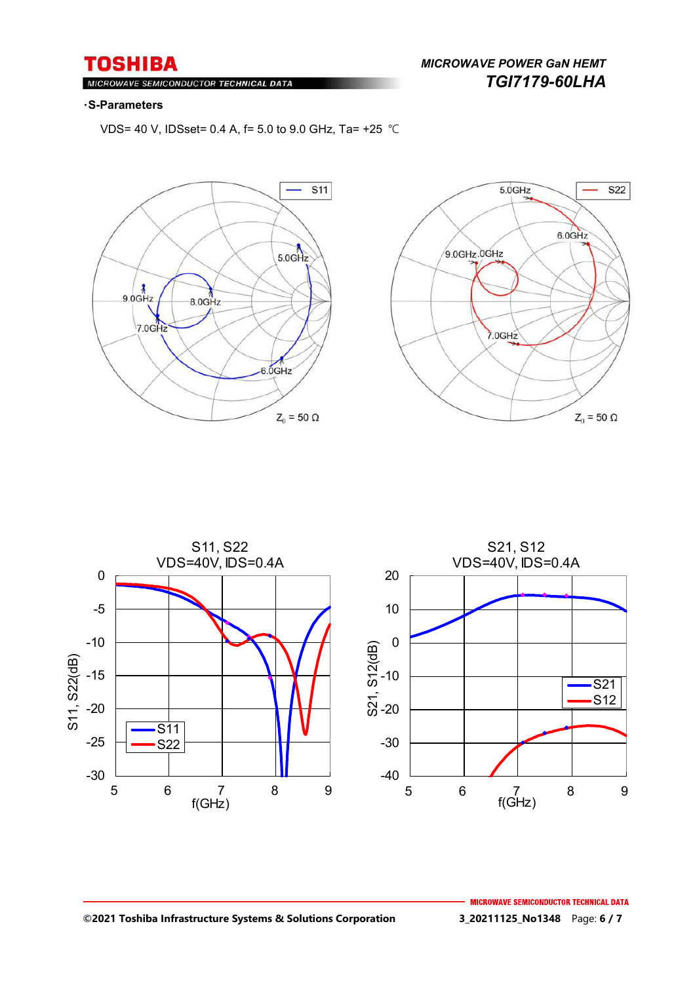$M$ ROWAVE SEMICONDUCTOR TECHNICAL DATA

#### ・**S-Parameters**

VDS= 40 V, IDSset= 0.4 A, f= 5.0 to 9.0 GHz, Ta= +25 ℃